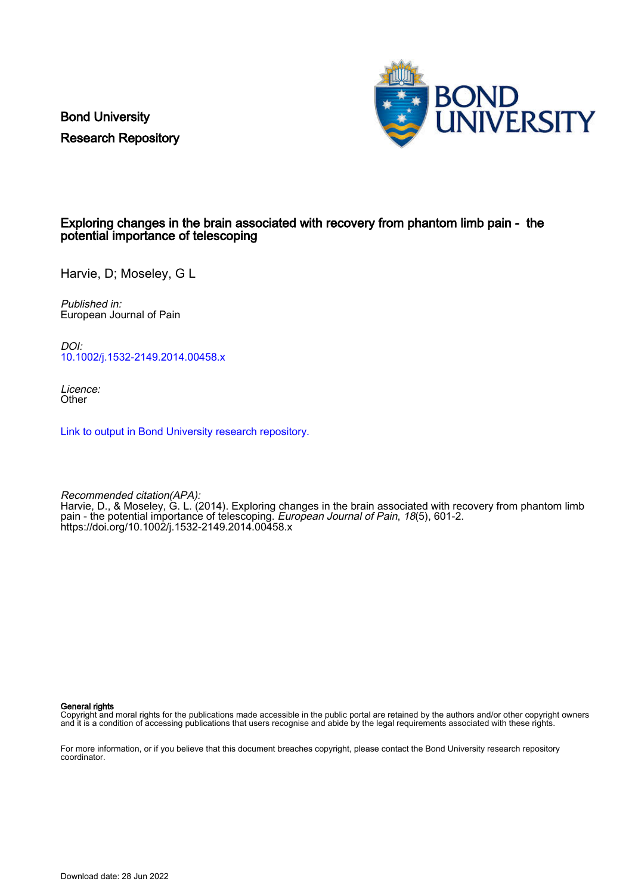Bond University Research Repository



## Exploring changes in the brain associated with recovery from phantom limb pain - the potential importance of telescoping

Harvie, D; Moseley, G L

Published in: European Journal of Pain

DOI: [10.1002/j.1532-2149.2014.00458.x](https://doi.org/10.1002/j.1532-2149.2014.00458.x)

Licence: **Other** 

[Link to output in Bond University research repository.](https://research.bond.edu.au/en/publications/2fd25910-f992-48c9-bd6d-61b17ee6f57f)

Recommended citation(APA): Harvie, D., & Moseley, G. L. (2014). Exploring changes in the brain associated with recovery from phantom limb pain - the potential importance of telescoping. *European Journal of Pain, 18*(5), 601-2. <https://doi.org/10.1002/j.1532-2149.2014.00458.x>

General rights

Copyright and moral rights for the publications made accessible in the public portal are retained by the authors and/or other copyright owners and it is a condition of accessing publications that users recognise and abide by the legal requirements associated with these rights.

For more information, or if you believe that this document breaches copyright, please contact the Bond University research repository coordinator.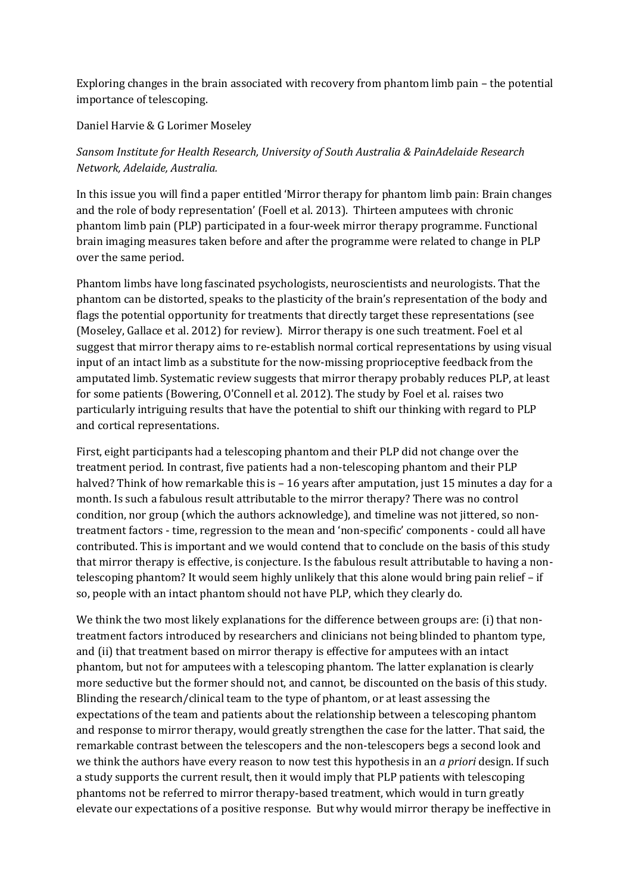Exploring changes in the brain associated with recovery from phantom limb pain – the potential importance of telescoping.

Daniel Harvie & G Lorimer Moseley

## *Sansom Institute for Health Research, University of South Australia & PainAdelaide Research Network, Adelaide, Australia.*

In this issue you will find a paper entitled 'Mirror therapy for phantom limb pain: Brain changes and the role of body representation' (Foell et al. 2013). Thirteen amputees with chronic phantom limb pain (PLP) participated in a four-week mirror therapy programme. Functional brain imaging measures taken before and after the programme were related to change in PLP over the same period.

Phantom limbs have long fascinated psychologists, neuroscientists and neurologists. That the phantom can be distorted, speaks to the plasticity of the brain's representation of the body and flags the potential opportunity for treatments that directly target these representations (see [\(Moseley, Gallace et al. 2012\)](#page-2-0) for review). Mirror therapy is one such treatment. Foel et al suggest that mirror therapy aims to re-establish normal cortical representations by using visual input of an intact limb as a substitute for the now-missing proprioceptive feedback from the amputated limb. Systematic review suggests that mirror therapy probably reduces PLP, at least for some patients [\(Bowering, O'Connell et al. 2012\)](#page-2-1). The study by Foel et al. raises two particularly intriguing results that have the potential to shift our thinking with regard to PLP and cortical representations.

First, eight participants had a telescoping phantom and their PLP did not change over the treatment period. In contrast, five patients had a non-telescoping phantom and their PLP halved? Think of how remarkable this is – 16 years after amputation, just 15 minutes a day for a month. Is such a fabulous result attributable to the mirror therapy? There was no control condition, nor group (which the authors acknowledge), and timeline was not jittered, so nontreatment factors - time, regression to the mean and 'non-specific' components - could all have contributed. This is important and we would contend that to conclude on the basis of this study that mirror therapy is effective, is conjecture. Is the fabulous result attributable to having a nontelescoping phantom? It would seem highly unlikely that this alone would bring pain relief – if so, people with an intact phantom should not have PLP, which they clearly do.

We think the two most likely explanations for the difference between groups are: (i) that nontreatment factors introduced by researchers and clinicians not being blinded to phantom type, and (ii) that treatment based on mirror therapy is effective for amputees with an intact phantom, but not for amputees with a telescoping phantom. The latter explanation is clearly more seductive but the former should not, and cannot, be discounted on the basis of this study. Blinding the research/clinical team to the type of phantom, or at least assessing the expectations of the team and patients about the relationship between a telescoping phantom and response to mirror therapy, would greatly strengthen the case for the latter. That said, the remarkable contrast between the telescopers and the non-telescopers begs a second look and we think the authors have every reason to now test this hypothesis in an *a priori* design. If such a study supports the current result, then it would imply that PLP patients with telescoping phantoms not be referred to mirror therapy-based treatment, which would in turn greatly elevate our expectations of a positive response. But why would mirror therapy be ineffective in